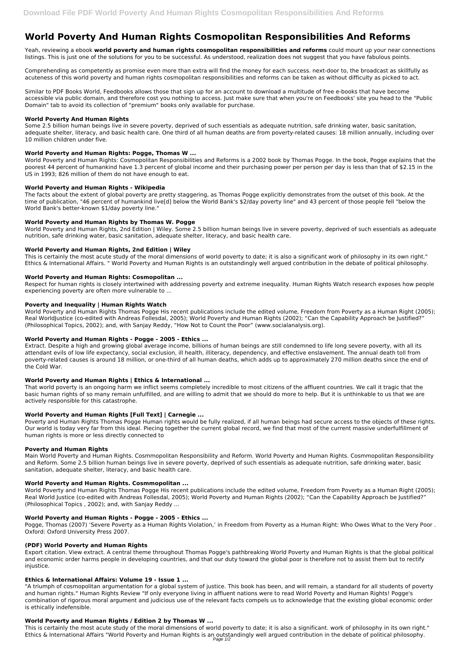# **World Poverty And Human Rights Cosmopolitan Responsibilities And Reforms**

Yeah, reviewing a ebook **world poverty and human rights cosmopolitan responsibilities and reforms** could mount up your near connections listings. This is just one of the solutions for you to be successful. As understood, realization does not suggest that you have fabulous points.

Comprehending as competently as promise even more than extra will find the money for each success. next-door to, the broadcast as skillfully as acuteness of this world poverty and human rights cosmopolitan responsibilities and reforms can be taken as without difficulty as picked to act.

Similar to PDF Books World, Feedbooks allows those that sign up for an account to download a multitude of free e-books that have become accessible via public domain, and therefore cost you nothing to access. Just make sure that when you're on Feedbooks' site you head to the "Public Domain" tab to avoid its collection of "premium" books only available for purchase.

#### **World Poverty And Human Rights**

Some 2.5 billion human beings live in severe poverty, deprived of such essentials as adequate nutrition, safe drinking water, basic sanitation, adequate shelter, literacy, and basic health care. One third of all human deaths are from poverty-related causes: 18 million annually, including over 10 million children under five.

#### **World Poverty and Human Rights: Pogge, Thomas W ...**

World Poverty and Human Rights: Cosmopolitan Responsibilities and Reforms is a 2002 book by Thomas Pogge. In the book, Pogge explains that the poorest 44 percent of humankind have 1.3 percent of global income and their purchasing power per person per day is less than that of \$2.15 in the US in 1993; 826 million of them do not have enough to eat.

#### **World Poverty and Human Rights - Wikipedia**

The facts about the extent of global poverty are pretty staggering, as Thomas Pogge explicitly demonstrates from the outset of this book. At the time of publication, "46 percent of humankind live[d] below the World Bank's \$2/day poverty line" and 43 percent of those people fell "below the World Bank's better-known \$1/day poverty line."

# **World Poverty and Human Rights by Thomas W. Pogge**

World Poverty and Human Rights, 2nd Edition | Wiley. Some 2.5 billion human beings live in severe poverty, deprived of such essentials as adequate nutrition, safe drinking water, basic sanitation, adequate shelter, literacy, and basic health care.

### **World Poverty and Human Rights, 2nd Edition | Wiley**

This is certainly the most acute study of the moral dimensions of world poverty to date; it is also a significant work of philosophy in its own right." Ethics & International Affairs. " World Poverty and Human Rights is an outstandingly well argued contribution in the debate of political philosophy.

Real World Justice (co-edited with Andreas Follesdal, 2005); World Poverty and Human Rights (2002); "Can the Capability Approach be Justified?" (Philosophical Topics , 2002); and, with Sanjay Reddy ...

#### **World Poverty and Human Rights: Cosmopolitan ...**

Respect for human rights is closely intertwined with addressing poverty and extreme inequality. Human Rights Watch research exposes how people experiencing poverty are often more vulnerable to ...

#### **Poverty and Inequality | Human Rights Watch**

World Poverty and Human Rights Thomas Pogge His recent publications include the edited volume, Freedom from Poverty as a Human Right (2005); Real WorldJustice (co-edited with Andreas Follesdal, 2005); World Poverty and Human Rights (2002); "Can the Capability Approach be Justified?" (Philosophical Topics, 2002); and, with Sanjay Reddy, "How Not to Count the Poor" (www.socialanalysis.org).

This is certainly the most acute study of the moral dimensions of world poverty to date; it is also a significant. work of philosophy in its own right." Ethics & International Affairs "World Poverty and Human Rights is an outstandingly well argued contribution in the debate of political philosophy. Page 1/2

#### **World Poverty and Human Rights - Pogge - 2005 - Ethics ...**

Extract. Despite a high and growing global average income, billions of human beings are still condemned to life long severe poverty, with all its attendant evils of low life expectancy, social exclusion, ill health, illiteracy, dependency, and effective enslavement. The annual death toll from poverty-related causes is around 18 million, or one-third of all human deaths, which adds up to approximately 270 million deaths since the end of the Cold War.

#### **World Poverty and Human Rights | Ethics & International ...**

That world poverty is an ongoing harm we inflict seems completely incredible to most citizens of the affluent countries. We call it tragic that the basic human rights of so many remain unfulfilled, and are willing to admit that we should do more to help. But it is unthinkable to us that we are actively responsible for this catastrophe.

#### **World Poverty and Human Rights [Full Text] | Carnegie ...**

Poverty and Human Rights Thomas Pogge Human rights would be fully realized, if all human beings had secure access to the objects of these rights. Our world is today very far from this ideal. Piecing together the current global record, we find that most of the current massive underfulfillment of human rights is more or less directly connected to

#### **Poverty and Human Rights**

Main World Poverty and Human Rights. Cosmmopolitan Responsibility and Reform. World Poverty and Human Rights. Cosmmopolitan Responsibility and Reform. Some 2.5 billion human beings live in severe poverty, deprived of such essentials as adequate nutrition, safe drinking water, basic sanitation, adequate shelter, literacy, and basic health care.

#### **World Poverty and Human Rights. Cosmmopolitan ...**

World Poverty and Human Rights Thomas Pogge His recent publications include the edited volume, Freedom from Poverty as a Human Right (2005);

### **World Poverty and Human Rights - Pogge - 2005 - Ethics ...**

Pogge, Thomas (2007) 'Severe Poverty as a Human Rights Violation,' in Freedom from Poverty as a Human Right: Who Owes What to the Very Poor . Oxford: Oxford University Press 2007.

#### **(PDF) World Poverty and Human Rights**

Export citation. View extract. A central theme throughout Thomas Pogge's pathbreaking World Poverty and Human Rights is that the global political and economic order harms people in developing countries, and that our duty toward the global poor is therefore not to assist them but to rectify injustice.

#### **Ethics & International Affairs: Volume 19 - Issue 1 ...**

"A triumph of cosmopolitan argumentation for a global system of justice. This book has been, and will remain, a standard for all students of poverty and human rights." Human Rights Review "If only everyone living in affluent nations were to read World Poverty and Human Rights! Pogge's combination of rigorous moral argument and judicious use of the relevant facts compels us to acknowledge that the existing global economic order is ethically indefensible.

# **World Poverty and Human Rights / Edition 2 by Thomas W ...**